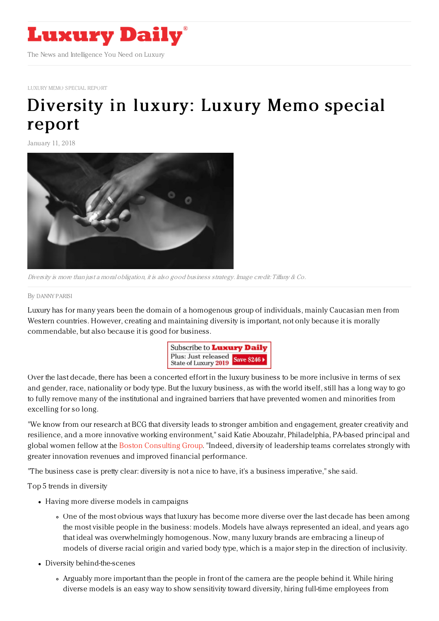

LUXURY MEMO [SPECIAL](file:///tmp/www.luxurydaily.com/category/luxury-memo-special-report) REPORT

# [Diversity](https://www.luxurydaily.com/diversity-luxury-memo-special-report/) in luxury: Luxury Memo special report

January 11, 2018



Diversity is more than just a moral obligation, it is also good business strategy. Image credit: Tiffany & Co.

#### By [DANNY](file:///author/danny-parisi) PARISI

Luxury has for many years been the domain of a homogenous group of individuals, mainly Caucasian men from Western countries. However, creating and maintaining diversity is important, not only because it is morally commendable, but also because it is good for business.



Over the last decade, there has been a concerted effort in the luxury business to be more inclusive in terms of sex and gender, race, nationality or body type. But the luxury business, as with the world itself, still has a long way to go to fully remove many of the institutional and ingrained barriers that have prevented women and minorities from excelling for so long.

"We know from our research at BCG that diversity leads to stronger ambition and engagement, greater creativity and resilience, and a more innovative working environment," said Katie Abouzahr, Philadelphia, PA-based principal and global women fellow at the Boston [Consulting](https://www.bcg.com/) Group. "Indeed, diversity of leadership teams correlates strongly with greater innovation revenues and improved financial performance.

"The business case is pretty clear: diversity is not a nice to have, it's a business imperative," she said.

Top 5 trends in diversity

- Having more diverse models in campaigns
	- One of the most obvious ways that luxury has become more diverse over the last decade has been among the most visible people in the business: models. Models have always represented an ideal, and years ago that ideal was overwhelmingly homogenous. Now, many luxury brands are embracing a lineup of models of diverse racial origin and varied body type, which is a major step in the direction of inclusivity.
- Diversity behind-the-scenes
	- Arguably more important than the people in front of the camera are the people behind it. While hiring diverse models is an easy way to show sensitivity toward diversity, hiring full-time employees from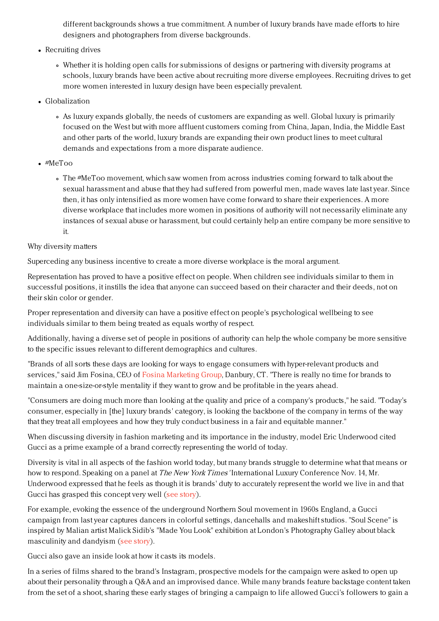different backgrounds shows a true commitment. A number of luxury brands have made efforts to hire designers and photographers from diverse backgrounds.

- Recruiting drives
	- Whether it is holding open calls for submissions of designs or partnering with diversity programs at schools, luxury brands have been active about recruiting more diverse employees. Recruiting drives to get more women interested in luxury design have been especially prevalent.
- Globalization
	- As luxury expands globally, the needs of customers are expanding as well. Global luxury is primarily focused on the West but with more affluent customers coming from China, Japan, India, the Middle East and other parts of the world, luxury brands are expanding their own product lines to meet cultural demands and expectations from a more disparate audience.
- #MeToo
	- The #MeToo movement, which saw women from across industries coming forward to talk about the sexual harassment and abuse that they had suffered from powerful men, made waves late last year. Since then, it has only intensified as more women have come forward to share their experiences. A more diverse workplace that includes more women in positions of authority will not necessarily eliminate any instances of sexual abuse or harassment, but could certainly help an entire company be more sensitive to it.

### Why diversity matters

Superceding any business incentive to create a more diverse workplace is the moral argument.

Representation has proved to have a positive effect on people. When children see individuals similar to them in successful positions, it instills the idea that anyone can succeed based on their character and their deeds, not on their skin color or gender.

Proper representation and diversity can have a positive effect on people's psychological wellbeing to see individuals similar to them being treated as equals worthy of respect.

Additionally, having a diverse set of people in positions of authority can help the whole company be more sensitive to the specific issues relevant to different demographics and cultures.

"Brands of all sorts these days are looking for ways to engage consumers with hyper-relevant products and services," said Jim Fosina, CEO of Fosina [Marketing](http://fosinamarketinggroup.com/) Group, Danbury, CT. "There is really no time for brands to maintain a one-size-or-style mentality if they want to grow and be profitable in the years ahead.

"Consumers are doing much more than looking at the quality and price of a company's products," he said. "Today's consumer, especially in [the] luxury brands' category, is looking the backbone of the company in terms of the way that they treat all employees and how they truly conduct business in a fair and equitable manner."

When discussing diversity in fashion marketing and its importance in the industry, model Eric Underwood cited Gucci as a prime example of a brand correctly representing the world of today.

Diversity is vital in all aspects of the fashion world today, but many brands struggle to determine what that means or how to respond. Speaking on a panel at *The New York Times'* International Luxury Conference Nov. 14, Mr. Underwood expressed that he feels as though it is brands' duty to accurately represent the world we live in and that Gucci has grasped this concept very well (see [story](https://www.luxurydaily.com/diversity-is-vital-from-the-inside-out-for-fashion-brands/)).

For example, evoking the essence of the underground Northern Soul movement in 1960s England, a Gucci campaign from last year captures dancers in colorful settings, dancehalls and makeshift studios. "Soul Scene" is inspired by Malian artist Malick Sidib's "Made You Look" exhibition at London's Photography Galley about black masculinity and dandyism (see [story](https://www.luxurydaily.com/gucci-conjures-feelings-of-self-expression-for-pre-fall/)).

Gucci also gave an inside look at how it casts its models.

In a series of films shared to the brand's Instagram, prospective models for the campaign were asked to open up about their personality through a Q&A and an improvised dance. While many brands feature backstage content taken from the set of a shoot, sharing these early stages of bringing a campaign to life allowed Gucci's followers to gain a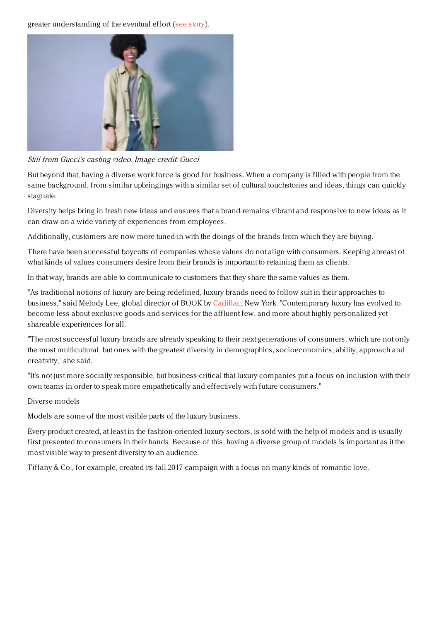greater understanding of the eventual effort (see [story](https://www.luxurydaily.com/gucci-makes-casting-call-public-to-tease-upcoming-ads/)).



Still from Gucci's casting video. Image credit: Gucci

But beyond that, having a diverse work force is good for business. When a company is filled with people from the same background, from similar upbringings with a similar set of cultural touchstones and ideas, things can quickly stagnate.

Diversity helps bring in fresh new ideas and ensures that a brand remains vibrant and responsive to new ideas as it can draw on a wide variety of experiences from employees.

Additionally, customers are now more tuned-in with the doings of the brands from which they are buying.

There have been successful boycotts of companies whose values do not align with consumers. Keeping abreast of what kinds of values consumers desire from their brands is important to retaining them as clients.

In that way, brands are able to communicate to customers that they share the same values as them.

"As traditional notions of luxury are being redefined, luxury brands need to follow suit in their approaches to business," said Melody Lee, global director of BOOK by [Cadillac](http://www.cadillac.com), New York. "Contemporary luxury has evolved to become less about exclusive goods and services for the affluent few, and more about highly personalized yet shareable experiences for all.

"The most successful luxury brands are already speaking to their next generations of consumers, which are not only the most multicultural, but ones with the greatest diversity in demographics, socioeconomics, ability, approach and creativity," she said.

"It's not just more socially responsible, but business-critical that luxury companies put a focus on inclusion with their own teams in order to speak more empathetically and effectively with future consumers."

#### Diverse models

Models are some of the most visible parts of the luxury business.

Every product created, at least in the fashion-oriented luxury sectors, is sold with the help of models and is usually first presented to consumers in their hands. Because of this, having a diverse group of models is important as it the most visible way to present diversity to an audience.

Tiffany & Co., for example, created its fall 2017 campaign with a focus on many kinds of romantic love.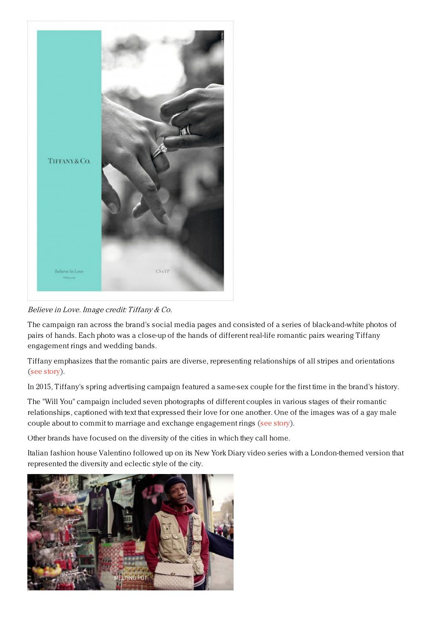

# Believe in Love. Image credit: Tiffany & Co.

The campaign ran across the brand's social media pages and consisted of a series of black-and-white photos of pairs of hands. Each photo was a close-up of the hands of different real-life romantic pairs wearing Tiffany engagement rings and wedding bands.

Tiffany emphasizes that the romantic pairs are diverse, representing relationships of all stripes and orientations (see [story](https://www.luxurydaily.com/tiffany-uses-close-up-photos-to-show-loves-diversity-universality/)).

In 2015, Tiffany's spring advertising campaign featured a same-sex couple for the first time in the brand's history.

The "Will You" campaign included seven photographs of different couples in various stages of their romantic relationships, captioned with text that expressed their love for one another. One of the images was of a gay male couple about to commit to marriage and exchange engagement rings (see [story](https://www.luxurydaily.com/tiffany-targets-lgbtq/)).

Other brands have focused on the diversity of the cities in which they call home.

Italian fashion house Valentino followed up on its New York Diary video series with a London-themed version that represented the diversity and eclectic style of the city.

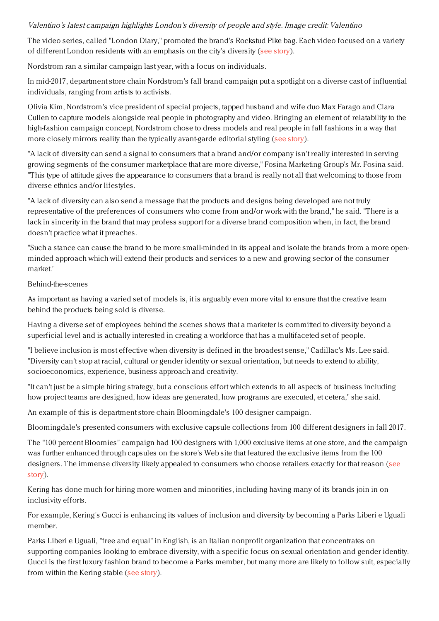## Valentino's latest campaign highlights London's diversity of people and style. Image credit: Valentino

The video series, called "London Diary," promoted the brand's Rockstud Pike bag. Each video focused on a variety of different London residents with an emphasis on the city's diversity (see [story](https://www.luxurydaily.com/valentino-celebrates-londons-diversity-in-new-handbag-campaign/)).

Nordstrom ran a similar campaign last year, with a focus on individuals.

In mid-2017, department store chain Nordstrom's fall brand campaign put a spotlight on a diverse cast of influential individuals, ranging from artists to activists.

Olivia Kim, Nordstrom's vice president of special projects, tapped husband and wife duo Max Farago and Clara Cullen to capture models alongside real people in photography and video. Bringing an element of relatability to the high-fashion campaign concept, Nordstrom chose to dress models and real people in fall fashions in a way that more closely mirrors reality than the typically avant-garde editorial styling (see [story](https://www.luxurydaily.com/nordstrom-looks-beyond-models-for-community-focused-campaign/)).

"A lack of diversity can send a signal to consumers that a brand and/or company isn't really interested in serving growing segments of the consumer marketplace that are more diverse," Fosina Marketing Group's Mr. Fosina said. "This type of attitude gives the appearance to consumers that a brand is really not all that welcoming to those from diverse ethnics and/or lifestyles.

"A lack of diversity can also send a message that the products and designs being developed are not truly representative of the preferences of consumers who come from and/or work with the brand," he said. "There is a lack in sincerity in the brand that may profess support for a diverse brand composition when, in fact, the brand doesn't practice what it preaches.

"Such a stance can cause the brand to be more small-minded in its appeal and isolate the brands from a more openminded approach which will extend their products and services to a new and growing sector of the consumer market."

#### Behind-the-scenes

As important as having a varied set of models is, it is arguably even more vital to ensure that the creative team behind the products being sold is diverse.

Having a diverse set of employees behind the scenes shows that a marketer is committed to diversity beyond a superficial level and is actually interested in creating a workforce that has a multifaceted set of people.

"I believe inclusion is most effective when diversity is defined in the broadest sense," Cadillac's Ms. Lee said. "Diversity can't stop at racial, cultural or gender identity or sexual orientation, but needs to extend to ability, socioeconomics, experience, business approach and creativity.

"It can't just be a simple hiring strategy, but a conscious effort which extends to all aspects of business including how project teams are designed, how ideas are generated, how programs are executed, et cetera," she said.

An example of this is department store chain Bloomingdale's 100 designer campaign.

Bloomingdale's presented consumers with exclusive capsule collections from 100 different designers in fall 2017.

The "100 percent Bloomies" campaign had 100 designers with 1,000 exclusive items at one store, and the campaign was further enhanced through capsules on the store's Web site that featured the exclusive items from the 100 designers. The immense diversity likely appealed to [consumers](https://www.luxurydaily.com/bloomingdales-emphasizes-diversity-with-100-designer-campaign/) who choose retailers exactly for that reason (see story).

Kering has done much for hiring more women and minorities, including having many of its brands join in on inclusivity efforts.

For example, Kering's Gucci is enhancing its values of inclusion and diversity by becoming a Parks Liberi e Uguali member.

Parks Liberi e Uguali, "free and equal" in English, is an Italian nonprofit organization that concentrates on supporting companies looking to embrace diversity, with a specific focus on sexual orientation and gender identity. Gucci is the first luxury fashion brand to become a Parks member, but many more are likely to follow suit, especially from within the Kering stable (see [story](https://www.luxurydaily.com/gucci-streamlines-culture-of-inclusion-diversity-in-nonprofit-partnership/)).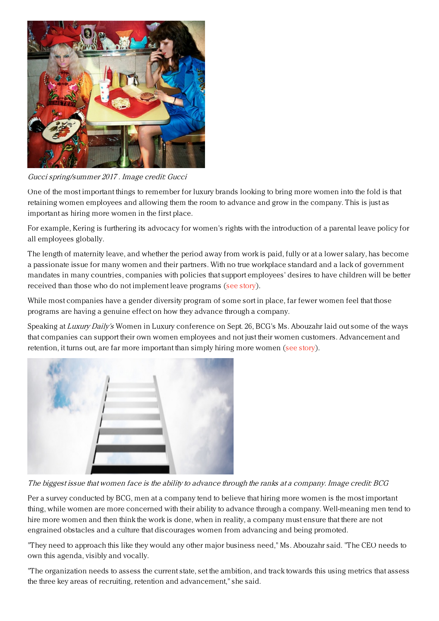

Gucci spring/summer 2017 . Image credit: Gucci

One of the most important things to remember for luxury brands looking to bring more women into the fold is that retaining women employees and allowing them the room to advance and grow in the company. This is just as important as hiring more women in the first place.

For example, Kering is furthering its advocacy for women's rights with the introduction of a parental leave policy for all employees globally.

The length of maternity leave, and whether the period away from work is paid, fully or at a lower salary, has become a passionate issue for many women and their partners. With no true workplace standard and a lack of government mandates in many countries, companies with policies that support employees' desires to have children will be better received than those who do not implement leave programs (see [story](https://www.luxurydaily.com/kering-fosters-work-life-balance-gender-equality-with-parental-leave-policy/)).

While most companies have a gender diversity program of some sort in place, far fewer women feel that those programs are having a genuine effect on how they advance through a company.

Speaking at Luxury Daily's Women in Luxury conference on Sept. 26, BCG's Ms. Abouzahr laid out some of the ways that companies can support their own women employees and not just their women customers. Advancement and retention, it turns out, are far more important than simply hiring more women (see [story](https://www.luxurydaily.com/promoting-women-not-just-right-thing-to-do-it-is-also-good-business/)).



The biggest issue that women face is the ability to advance through the ranks at <sup>a</sup> company. Image credit: BCG

Per a survey conducted by BCG, men at a company tend to believe that hiring more women is the most important thing, while women are more concerned with their ability to advance through a company. Well-meaning men tend to hire more women and then think the work is done, when in reality, a company must ensure that there are not engrained obstacles and a culture that discourages women from advancing and being promoted.

"They need to approach this like they would any other major business need," Ms. Abouzahr said. "The CEO needs to own this agenda, visibly and vocally.

"The organization needs to assess the current state, set the ambition, and track towards this using metrics that assess the three key areas of recruiting, retention and advancement," she said.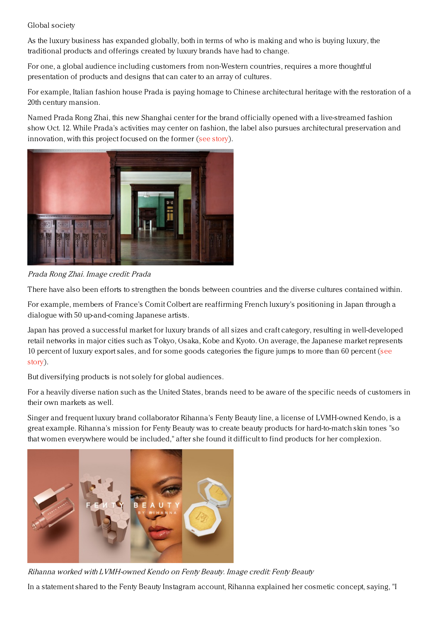# Global society

As the luxury business has expanded globally, both in terms of who is making and who is buying luxury, the traditional products and offerings created by luxury brands have had to change.

For one, a global audience including customers from non-Western countries, requires a more thoughtful presentation of products and designs that can cater to an array of cultures.

For example, Italian fashion house Prada is paying homage to Chinese architectural heritage with the restoration of a 20th century mansion.

Named Prada Rong Zhai, this new Shanghai center for the brand officially opened with a live-streamed fashion show Oct. 12. While Prada's activities may center on fashion, the label also pursues architectural preservation and innovation, with this project focused on the former (see [story](https://www.luxurydaily.com/prada-establishes-center-for-cultural-activities-in-shanghai/)).



Prada Rong Zhai. Image credit: Prada

There have also been efforts to strengthen the bonds between countries and the diverse cultures contained within.

For example, members of France's Comit Colbert are reaffirming French luxury's positioning in Japan through a dialogue with 50 up-and-coming Japanese artists.

Japan has proved a successful market for luxury brands of all sizes and craft category, resulting in well-developed retail networks in major cities such as Tokyo, Osaka, Kobe and Kyoto. On average, the Japanese market represents 10 percent of luxury export sales, and for some goods [categories](https://www.luxurydaily.com/comite-colbert-calls-on-shared-cultural-affinities-for-japanese-art-exhibit/) the figure jumps to more than 60 percent (see story).

But diversifying products is not solely for global audiences.

For a heavily diverse nation such as the United States, brands need to be aware of the specific needs of customers in their own markets as well.

Singer and frequent luxury brand collaborator Rihanna's Fenty Beauty line, a license of LVMH-owned Kendo, is a great example. Rihanna's mission for Fenty Beauty was to create beauty products for hard-to-match skin tones "so that women everywhere would be included," after she found it difficult to find products for her complexion.



Rihanna worked with LVMH-owned Kendo on Fenty Beauty. Image credit: Fenty Beauty

In a statement shared to the Fenty Beauty Instagram account, Rihanna explained her cosmetic concept, saying, "I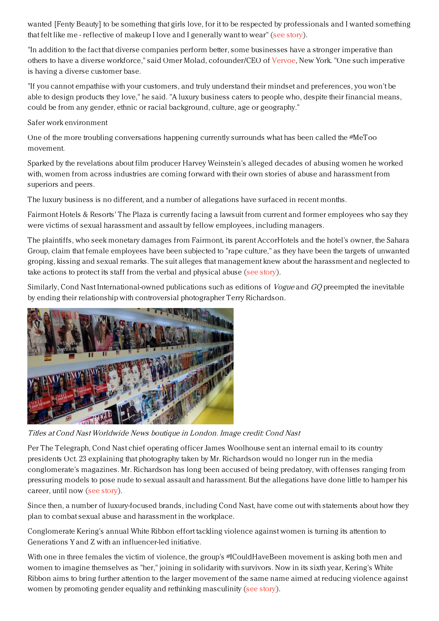wanted [Fenty Beauty] to be something that girls love, for it to be respected by professionals and I wanted something that felt like me - reflective of makeup I love and I generally want to wear" (see [story](https://www.luxurydaily.com/complexion-merchandising-calls-for-diversity-guided-selling/)).

"In addition to the fact that diverse companies perform better, some businesses have a stronger imperative than others to have a diverse workforce," said Omer Molad, cofounder/CEO of [Vervoe](https://www.vervoe.com/), New York. "One such imperative is having a diverse customer base.

"If you cannot empathise with your customers, and truly understand their mindset and preferences, you won't be able to design products they love," he said. "A luxury business caters to people who, despite their financial means, could be from any gender, ethnic or racial background, culture, age or geography."

Safer work environment

One of the more troubling conversations happening currently surrounds what has been called the #MeToo movement.

Sparked by the revelations about film producer Harvey Weinstein's alleged decades of abusing women he worked with, women from across industries are coming forward with their own stories of abuse and harassment from superiors and peers.

The luxury business is no different, and a number of allegations have surfaced in recent months.

Fairmont Hotels & Resorts' The Plaza is currently facing a lawsuit from current and former employees who say they were victims of sexual harassment and assault by fellow employees, including managers.

The plaintiffs, who seek monetary damages from Fairmont, its parent AccorHotels and the hotel's owner, the Sahara Group, claim that female employees have been subjected to "rape culture," as they have been the targets of unwanted groping, kissing and sexual remarks. The suit alleges that management knew about the harassment and neglected to take actions to protect its staff from the verbal and physical abuse (see [story](https://www.luxurydaily.com/employees-point-finger-at-the-plaza-for-sexual-harassment/)).

Similarly, Cond Nast International-owned publications such as editions of *Vogue* and GO preempted the inevitable by ending their relationship with controversial photographer Terry Richardson.



Titles at Cond Nast Worldwide News boutique in London. Image credit: Cond Nast

Per The Telegraph, Cond Nast chief operating officer James Woolhouse sent an internal email to its country presidents Oct. 23 explaining that photography taken by Mr. Richardson would no longer run in the media conglomerate's magazines. Mr. Richardson has long been accused of being predatory, with offenses ranging from pressuring models to pose nude to sexual assault and harassment. But the allegations have done little to hamper his career, until now (see [story](https://www.luxurydaily.com/conde-nast-nixes-relationship-with-terry-richardson/)).

Since then, a number of luxury-focused brands, including Cond Nast, have come out with statements about how they plan to combat sexual abuse and harassment in the workplace.

Conglomerate Kering's annual White Ribbon effort tackling violence against women is turning its attention to Generations Y and Z with an influencer-led initiative.

With one in three females the victim of violence, the group's #ICouldHaveBeen movement is asking both men and women to imagine themselves as "her," joining in solidarity with survivors. Now in its sixth year, Kering's White Ribbon aims to bring further attention to the larger movement of the same name aimed at reducing violence against women by promoting gender equality and rethinking masculinity (see [story](https://www.luxurydaily.com/kering-enlists-male-ambassadors-to-combat-violence-against-women/)).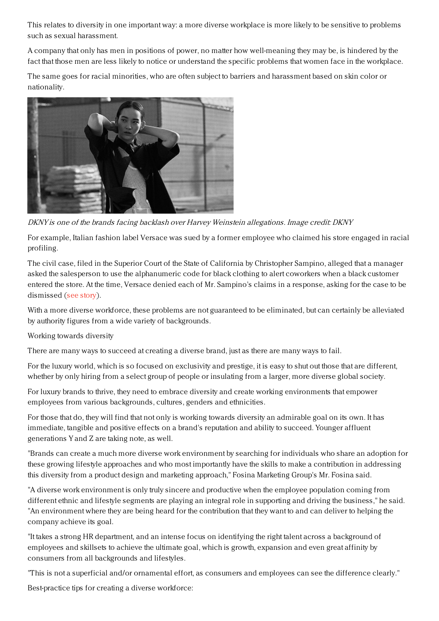This relates to diversity in one important way: a more diverse workplace is more likely to be sensitive to problems such as sexual harassment.

A company that only has men in positions of power, no matter how well-meaning they may be, is hindered by the fact that those men are less likely to notice or understand the specific problems that women face in the workplace.

The same goes for racial minorities, who are often subject to barriers and harassment based on skin color or nationality.



DKNY is one of the brands facing backlash over Harvey Weinstein allegations. Image credit: DKNY

For example, Italian fashion label Versace was sued by a former employee who claimed his store engaged in racial profiling.

The civil case, filed in the Superior Court of the State of California by Christopher Sampino, alleged that a manager asked the salesperson to use the alphanumeric code for black clothing to alert coworkers when a black customer entered the store. At the time, Versace denied each of Mr. Sampino's claims in a response, asking for the case to be dismissed (see [story](https://www.luxurydaily.com/versace-accused-of-racism-in-ex-employees-suit/)).

With a more diverse workforce, these problems are not guaranteed to be eliminated, but can certainly be alleviated by authority figures from a wide variety of backgrounds.

Working towards diversity

There are many ways to succeed at creating a diverse brand, just as there are many ways to fail.

For the luxury world, which is so focused on exclusivity and prestige, it is easy to shut out those that are different, whether by only hiring from a select group of people or insulating from a larger, more diverse global society.

For luxury brands to thrive, they need to embrace diversity and create working environments that empower employees from various backgrounds, cultures, genders and ethnicities.

For those that do, they will find that not only is working towards diversity an admirable goal on its own. It has immediate, tangible and positive effects on a brand's reputation and ability to succeed. Younger affluent generations Y and Z are taking note, as well.

"Brands can create a much more diverse work environment by searching for individuals who share an adoption for these growing lifestyle approaches and who most importantly have the skills to make a contribution in addressing this diversity from a product design and marketing approach," Fosina Marketing Group's Mr. Fosina said.

"A diverse work environment is only truly sincere and productive when the employee population coming from different ethnic and lifestyle segments are playing an integral role in supporting and driving the business," he said. "An environment where they are being heard for the contribution that they want to and can deliver to helping the company achieve its goal.

"It takes a strong HR department, and an intense focus on identifying the right talent across a background of employees and skillsets to achieve the ultimate goal, which is growth, expansion and even great affinity by consumers from all backgrounds and lifestyles.

"This is not a superficial and/or ornamental effort, as consumers and employees can see the difference clearly."

Best-practice tips for creating a diverse workforce: